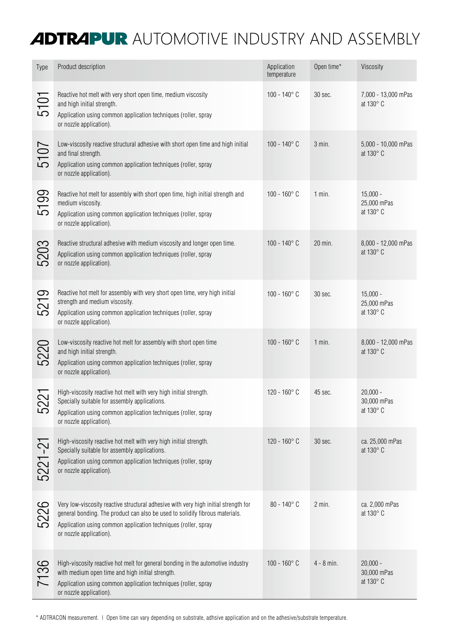## **ADTRAPUR** AUTOMOTIVE INDUSTRY AND ASSEMBLY

| Type            | Product description                                                                                                                                                                                                                                              | Application<br>temperature | Open time*   | Viscosity                              |
|-----------------|------------------------------------------------------------------------------------------------------------------------------------------------------------------------------------------------------------------------------------------------------------------|----------------------------|--------------|----------------------------------------|
| 5101            | Reactive hot melt with very short open time, medium viscosity<br>and high initial strength.<br>Application using common application techniques (roller, spray<br>or nozzle application).                                                                         | $100 - 140^{\circ}$ C      | 30 sec.      | 7,000 - 13,000 mPas<br>at 130° C       |
| 5107            | Low-viscosity reactive structural adhesive with short open time and high initial<br>and final strength.<br>Application using common application techniques (roller, spray<br>or nozzle application).                                                             | $100 - 140^{\circ}$ C      | $3$ min.     | 5,000 - 10,000 mPas<br>at 130° C       |
| 5199            | Reactive hot melt for assembly with short open time, high initial strength and<br>medium viscosity.<br>Application using common application techniques (roller, spray<br>or nozzle application).                                                                 | $100 - 160^{\circ}$ C      | $1$ min.     | $15,000 -$<br>25,000 mPas<br>at 130° C |
| 5203            | Reactive structural adhesive with medium viscosity and longer open time.<br>Application using common application techniques (roller, spray<br>or nozzle application).                                                                                            | $100 - 140^{\circ}$ C      | 20 min.      | 8,000 - 12,000 mPas<br>at 130° C       |
| $\sigma$<br>521 | Reactive hot melt for assembly with very short open time, very high initial<br>strength and medium viscosity.<br>Application using common application techniques (roller, spray<br>or nozzle application).                                                       | $100 - 160^{\circ}$ C      | 30 sec.      | $15,000 -$<br>25,000 mPas<br>at 130° C |
| 5220            | Low-viscosity reactive hot melt for assembly with short open time<br>and high initial strength.<br>Application using common application techniques (roller, spray<br>or nozzle application).                                                                     | $100 - 160^{\circ}$ C      | $1$ min.     | 8,000 - 12,000 mPas<br>at 130° C       |
| 522             | High-viscosity reactive hot melt with very high initial strength.<br>Specially suitable for assembly applications.<br>Application using common application techniques (roller, spray<br>or nozzle application).                                                  | 120 - 160 $^{\circ}$ C     | 45 sec.      | $20,000 -$<br>30,000 mPas<br>at 130° C |
| 5221-21         | High-viscosity reactive hot melt with very high initial strength.<br>Specially suitable for assembly applications.<br>Application using common application techniques (roller, spray<br>or nozzle application).                                                  | $120 - 160^{\circ}$ C      | 30 sec.      | ca. 25,000 mPas<br>at 130° C           |
| 5226            | Very low-viscosity reactive structural adhesive with very high initial strength for<br>general bonding. The product can also be used to solidify fibrous materials.<br>Application using common application techniques (roller, spray<br>or nozzle application). | $80 - 140^{\circ}$ C       | $2$ min.     | ca. 2,000 mPas<br>at 130° C            |
| 7136            | High-viscosity reactive hot melt for general bonding in the automotive industry<br>with medium open time and high initial strength.<br>Application using common application techniques (roller, spray<br>or nozzle application).                                 | $100 - 160^{\circ}$ C      | $4 - 8$ min. | $20,000 -$<br>30,000 mPas<br>at 130° C |

\* ADTRACON measurement. | Open time can vary depending on substrate, adhsive application and on the adhesive/substrate temperature.